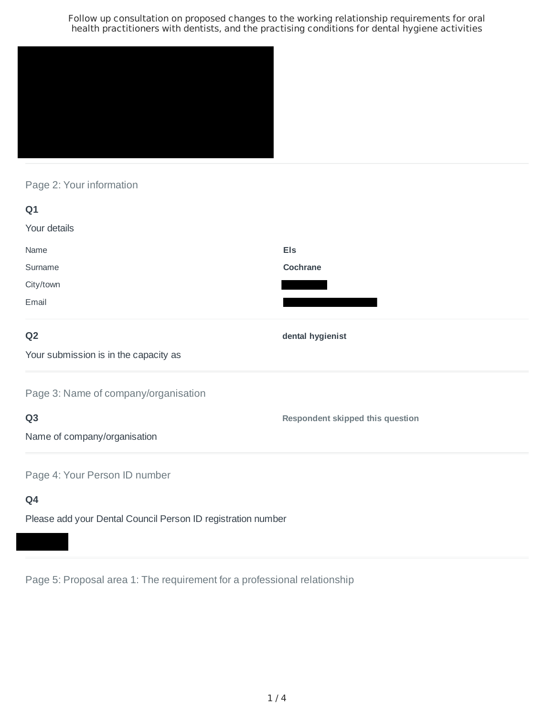

Page 2: Your information

| Q1                                    |                                         |
|---------------------------------------|-----------------------------------------|
| Your details                          |                                         |
| Name                                  | <b>Els</b>                              |
| Surname                               | Cochrane                                |
| City/town                             |                                         |
| Email                                 |                                         |
| Q <sub>2</sub>                        | dental hygienist                        |
| Your submission is in the capacity as |                                         |
| Page 3: Name of company/organisation  |                                         |
| Q <sub>3</sub>                        | <b>Respondent skipped this question</b> |
| Name of company/organisation          |                                         |
| Page 4: Your Person ID number         |                                         |
| Q4                                    |                                         |

Please add your Dental Council Person ID registration number

Page 5: Proposal area 1: The requirement for a professional relationship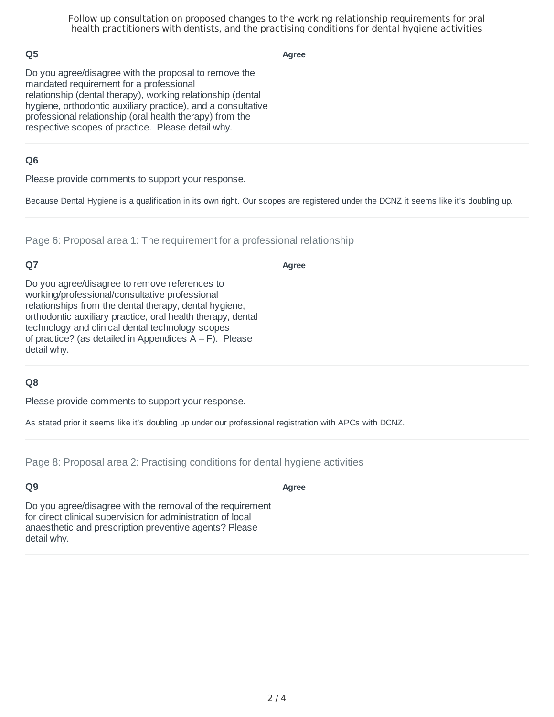## **Q5**

**Agree**

Do you agree/disagree with the proposal to remove the mandated requirement for a professional relationship (dental therapy), working relationship (dental hygiene, orthodontic auxiliary practice), and a consultative professional relationship (oral health therapy) from the respective scopes of practice. Please detail why.

## **Q6**

Please provide comments to support your response.

Because Dental Hygiene is a qualification in its own right. Our scopes are registered under the DCNZ it seems like it's doubling up.

Page 6: Proposal area 1: The requirement for a professional relationship

## **Q7**

**Agree**

Do you agree/disagree to remove references to working/professional/consultative professional relationships from the dental therapy, dental hygiene, orthodontic auxiliary practice, oral health therapy, dental technology and clinical dental technology scopes of practice? (as detailed in Appendices  $A - F$ ). Please detail why.

## **Q8**

Please provide comments to support your response.

As stated prior it seems like it's doubling up under our professional registration with APCs with DCNZ.

Page 8: Proposal area 2: Practising conditions for dental hygiene activities

# **Q9**

**Agree**

Do you agree/disagree with the removal of the requirement for direct clinical supervision for administration of local anaesthetic and prescription preventive agents? Please detail why.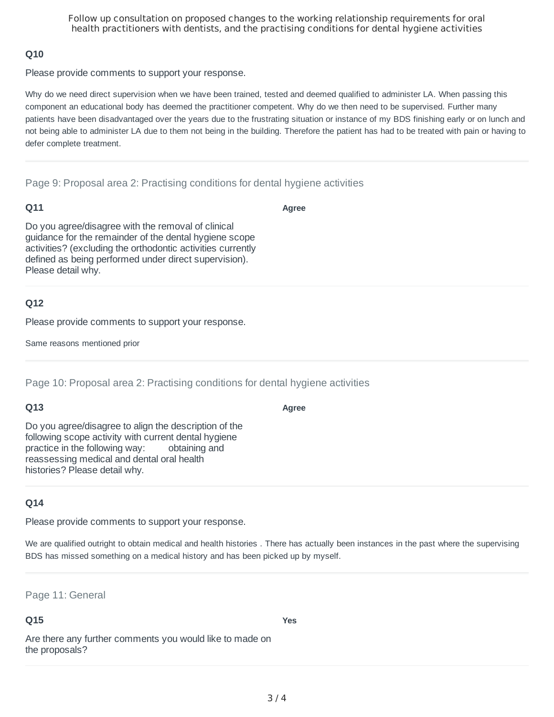#### **Q10**

Please provide comments to support your response.

Why do we need direct supervision when we have been trained, tested and deemed qualified to administer LA. When passing this component an educational body has deemed the practitioner competent. Why do we then need to be supervised. Further many patients have been disadvantaged over the years due to the frustrating situation or instance of my BDS finishing early or on lunch and not being able to administer LA due to them not being in the building. Therefore the patient has had to be treated with pain or having to defer complete treatment.

Page 9: Proposal area 2: Practising conditions for dental hygiene activities

#### **Q11**

**Agree**

Do you agree/disagree with the removal of clinical guidance for the remainder of the dental hygiene scope activities? (excluding the orthodontic activities currently defined as being performed under direct supervision). Please detail why.

#### **Q12**

Please provide comments to support your response.

Same reasons mentioned prior

Page 10: Proposal area 2: Practising conditions for dental hygiene activities

#### **Q13**

**Agree**

Do you agree/disagree to align the description of the following scope activity with current dental hygiene practice in the following way: obtaining and reassessing medical and dental oral health histories? Please detail why.

## **Q14**

Please provide comments to support your response.

We are qualified outright to obtain medical and health histories. There has actually been instances in the past where the supervising BDS has missed something on a medical history and has been picked up by myself.

Page 11: General

#### **Q15**

**Yes**

Are there any further comments you would like to made on the proposals?